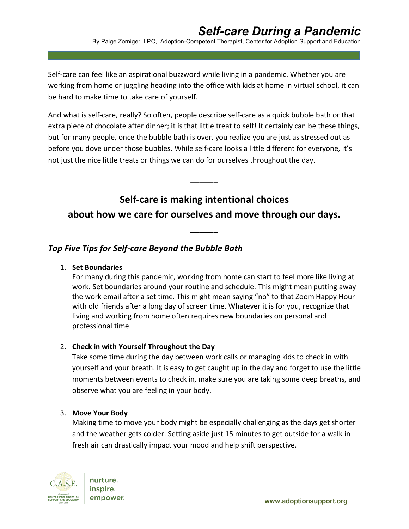Self-care can feel like an aspirational buzzword while living in a pandemic. Whether you are working from home or juggling heading into the office with kids at home in virtual school, it can be hard to make time to take care of yourself.

And what is self-care, really? So often, people describe self-care as a quick bubble bath or that extra piece of chocolate after dinner; it is that little treat to self! It certainly can be these things, but for many people, once the bubble bath is over, you realize you are just as stressed out as before you dove under those bubbles. While self-care looks a little different for everyone, it's not just the nice little treats or things we can do for ourselves throughout the day.

# **Self-care is making intentional choices about how we care for ourselves and move through our days.**

**\_\_\_\_\_\_**

**\_\_\_\_\_\_**

## *Top Five Tips for Self-care Beyond the Bubble Bath*

### 1. **Set Boundaries**

For many during this pandemic, working from home can start to feel more like living at work. Set boundaries around your routine and schedule. This might mean putting away the work email after a set time. This might mean saying "no" to that Zoom Happy Hour with old friends after a long day of screen time. Whatever it is for you, recognize that living and working from home often requires new boundaries on personal and professional time.

### 2. **Check in with Yourself Throughout the Day**

Take some time during the day between work calls or managing kids to check in with yourself and your breath. It is easy to get caught up in the day and forget to use the little moments between events to check in, make sure you are taking some deep breaths, and observe what you are feeling in your body.

### 3. **Move Your Body**

Making time to move your body might be especially challenging as the days get shorter and the weather gets colder. Setting aside just 15 minutes to get outside for a walk in fresh air can drastically impact your mood and help shift perspective.



nurture. inspire. empower.